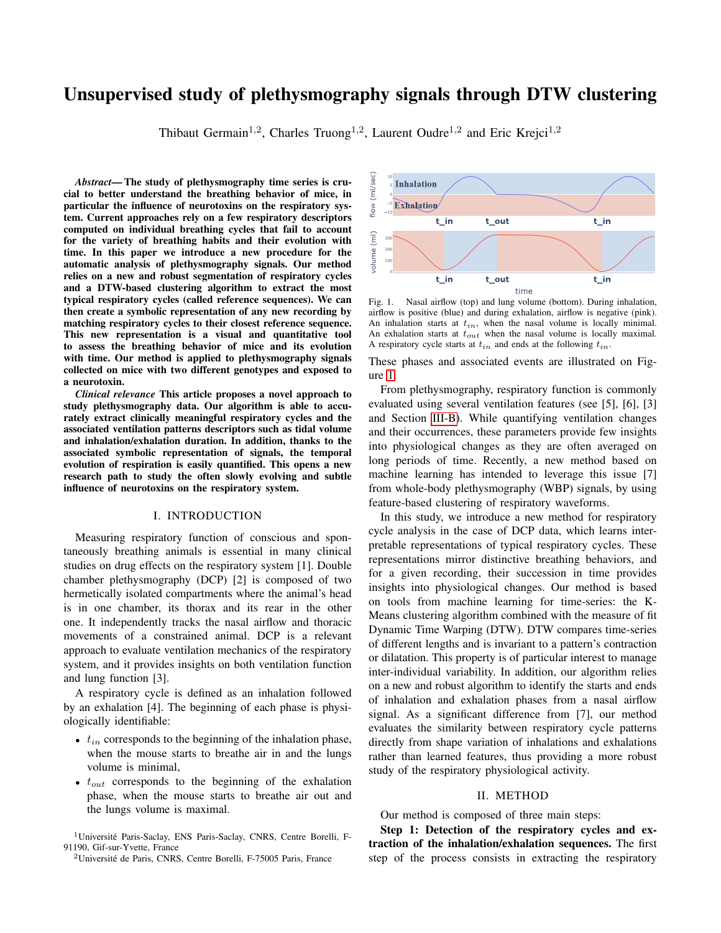# Unsupervised study of plethysmography signals through DTW clustering

Thibaut Germain<sup>1,2</sup>, Charles Truong<sup>1,2</sup>, Laurent Oudre<sup>1,2</sup> and Eric Krejci<sup>1,2</sup>

*Abstract*— The study of plethysmography time series is crucial to better understand the breathing behavior of mice, in particular the influence of neurotoxins on the respiratory system. Current approaches rely on a few respiratory descriptors computed on individual breathing cycles that fail to account for the variety of breathing habits and their evolution with time. In this paper we introduce a new procedure for the automatic analysis of plethysmography signals. Our method relies on a new and robust segmentation of respiratory cycles and a DTW-based clustering algorithm to extract the most typical respiratory cycles (called reference sequences). We can then create a symbolic representation of any new recording by matching respiratory cycles to their closest reference sequence. This new representation is a visual and quantitative tool to assess the breathing behavior of mice and its evolution with time. Our method is applied to plethysmography signals collected on mice with two different genotypes and exposed to a neurotoxin.

*Clinical relevance* This article proposes a novel approach to study plethysmography data. Our algorithm is able to accurately extract clinically meaningful respiratory cycles and the associated ventilation patterns descriptors such as tidal volume and inhalation/exhalation duration. In addition, thanks to the associated symbolic representation of signals, the temporal evolution of respiration is easily quantified. This opens a new research path to study the often slowly evolving and subtle influence of neurotoxins on the respiratory system.

#### I. INTRODUCTION

Measuring respiratory function of conscious and spontaneously breathing animals is essential in many clinical studies on drug effects on the respiratory system [1]. Double chamber plethysmography (DCP) [2] is composed of two hermetically isolated compartments where the animal's head is in one chamber, its thorax and its rear in the other one. It independently tracks the nasal airflow and thoracic movements of a constrained animal. DCP is a relevant approach to evaluate ventilation mechanics of the respiratory system, and it provides insights on both ventilation function and lung function [3].

A respiratory cycle is defined as an inhalation followed by an exhalation [4]. The beginning of each phase is physiologically identifiable:

- $\bullet$   $t_{in}$  corresponds to the beginning of the inhalation phase, when the mouse starts to breathe air in and the lungs volume is minimal,
- $\bullet$   $t_{out}$  corresponds to the beginning of the exhalation phase, when the mouse starts to breathe air out and the lungs volume is maximal.



 $2$ Université de Paris, CNRS, Centre Borelli, F-75005 Paris, France



<span id="page-0-0"></span>Fig. 1. Nasal airflow (top) and lung volume (bottom). During inhalation, airflow is positive (blue) and during exhalation, airflow is negative (pink). An inhalation starts at  $t_{in}$ , when the nasal volume is locally minimal. An exhalation starts at  $t_{out}$  when the nasal volume is locally maximal. A respiratory cycle starts at  $t_{in}$  and ends at the following  $t_{in}$ .

These phases and associated events are illustrated on Figure [1.](#page-0-0)

From plethysmography, respiratory function is commonly evaluated using several ventilation features (see [5], [6], [3] and Section [III-B\)](#page-2-0). While quantifying ventilation changes and their occurrences, these parameters provide few insights into physiological changes as they are often averaged on long periods of time. Recently, a new method based on machine learning has intended to leverage this issue [7] from whole-body plethysmography (WBP) signals, by using feature-based clustering of respiratory waveforms.

In this study, we introduce a new method for respiratory cycle analysis in the case of DCP data, which learns interpretable representations of typical respiratory cycles. These representations mirror distinctive breathing behaviors, and for a given recording, their succession in time provides insights into physiological changes. Our method is based on tools from machine learning for time-series: the K-Means clustering algorithm combined with the measure of fit Dynamic Time Warping (DTW). DTW compares time-series of different lengths and is invariant to a pattern's contraction or dilatation. This property is of particular interest to manage inter-individual variability. In addition, our algorithm relies on a new and robust algorithm to identify the starts and ends of inhalation and exhalation phases from a nasal airflow signal. As a significant difference from [7], our method evaluates the similarity between respiratory cycle patterns directly from shape variation of inhalations and exhalations rather than learned features, thus providing a more robust study of the respiratory physiological activity.

#### II. METHOD

Our method is composed of three main steps:

Step 1: Detection of the respiratory cycles and extraction of the inhalation/exhalation sequences. The first step of the process consists in extracting the respiratory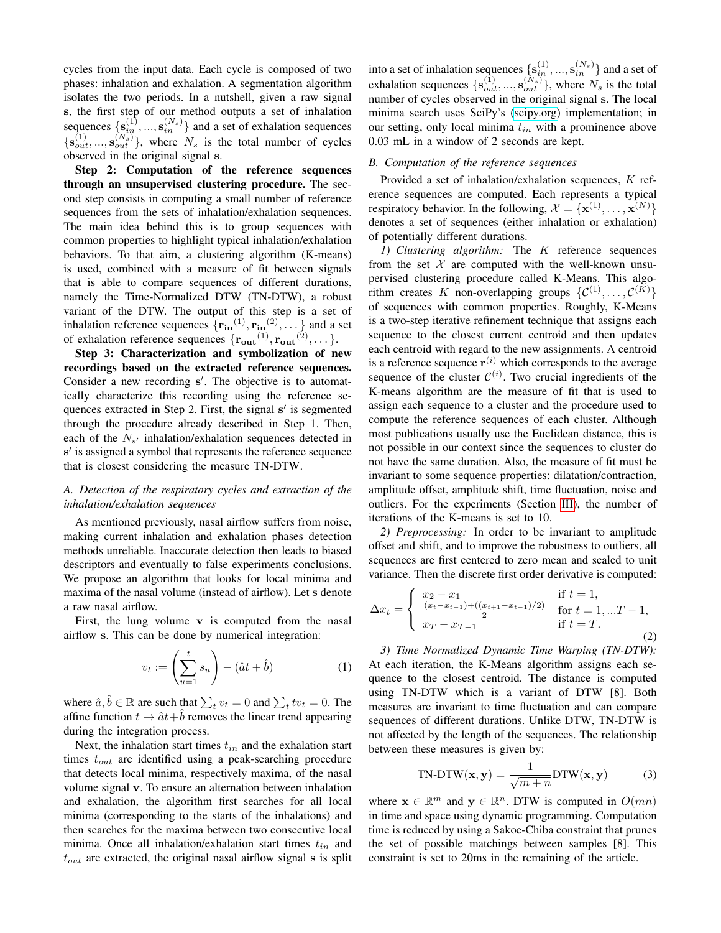cycles from the input data. Each cycle is composed of two phases: inhalation and exhalation. A segmentation algorithm isolates the two periods. In a nutshell, given a raw signal s, the first step of our method outputs a set of inhalation sequences  $\{s_{in}^{(1)},...,s_{in}^{(N_s)}\}$  and a set of exhalation sequences  $\{s_{out}^{(1)}, ..., s_{out}^{(N_s)}\}$ , where  $N_s$  is the total number of cycles observed in the original signal s.

Step 2: Computation of the reference sequences through an unsupervised clustering procedure. The second step consists in computing a small number of reference sequences from the sets of inhalation/exhalation sequences. The main idea behind this is to group sequences with common properties to highlight typical inhalation/exhalation behaviors. To that aim, a clustering algorithm (K-means) is used, combined with a measure of fit between signals that is able to compare sequences of different durations, namely the Time-Normalized DTW (TN-DTW), a robust variant of the DTW. The output of this step is a set of inhalation reference sequences  ${r_{in}}^{(1)}, r_{in}^{(2)}, \dots$  and a set of exhalation reference sequences  $\{r_{out}^{(1)}, r_{out}^{(2)}, \dots\}$ .

Step 3: Characterization and symbolization of new recordings based on the extracted reference sequences. Consider a new recording s'. The objective is to automatically characterize this recording using the reference sequences extracted in Step 2. First, the signal s' is segmented through the procedure already described in Step 1. Then, each of the  $N_{s'}$  inhalation/exhalation sequences detected in s ′ is assigned a symbol that represents the reference sequence that is closest considering the measure TN-DTW.

### <span id="page-1-1"></span>*A. Detection of the respiratory cycles and extraction of the inhalation/exhalation sequences*

As mentioned previously, nasal airflow suffers from noise, making current inhalation and exhalation phases detection methods unreliable. Inaccurate detection then leads to biased descriptors and eventually to false experiments conclusions. We propose an algorithm that looks for local minima and maxima of the nasal volume (instead of airflow). Let s denote a raw nasal airflow.

First, the lung volume  $v$  is computed from the nasal airflow s. This can be done by numerical integration:

$$
v_t := \left(\sum_{u=1}^t s_u\right) - (\hat{a}t + \hat{b})\tag{1}
$$

where  $\hat{a}, \hat{b} \in \mathbb{R}$  are such that  $\sum_t v_t = 0$  and  $\sum_t tv_t = 0$ . The affine function  $t \to \hat{a}t + \hat{b}$  removes the linear trend appearing during the integration process.

Next, the inhalation start times  $t_{in}$  and the exhalation start times  $t_{out}$  are identified using a peak-searching procedure that detects local minima, respectively maxima, of the nasal volume signal v. To ensure an alternation between inhalation and exhalation, the algorithm first searches for all local minima (corresponding to the starts of the inhalations) and then searches for the maxima between two consecutive local minima. Once all inhalation/exhalation start times  $t_{in}$  and  $t_{out}$  are extracted, the original nasal airflow signal s is split

into a set of inhalation sequences  $\{s_{in}^{(1)},...,s_{in}^{(N_s)}\}$  and a set of exhalation sequences  $\{s_{out}^{(1)},...,s_{out}^{(N_s)}\}$ , where  $N_s$  is the total number of cycles observed in the original signal s. The local minima search uses SciPy's [\(scipy.org\)](https://scipy.org/) implementation; in our setting, only local minima  $t_{in}$  with a prominence above 0.03 mL in a window of 2 seconds are kept.

## <span id="page-1-0"></span>*B. Computation of the reference sequences*

Provided a set of inhalation/exhalation sequences, K reference sequences are computed. Each represents a typical respiratory behavior. In the following,  $\mathcal{X} = \{ \mathbf{x}^{(1)}, \dots, \mathbf{x}^{(N)} \}$ denotes a set of sequences (either inhalation or exhalation) of potentially different durations.

*1) Clustering algorithm:* The K reference sequences from the set  $X$  are computed with the well-known unsupervised clustering procedure called K-Means. This algorithm creates K non-overlapping groups  $\{\mathcal{C}^{(1)}, \ldots, \mathcal{C}^{(K)}\}$ of sequences with common properties. Roughly, K-Means is a two-step iterative refinement technique that assigns each sequence to the closest current centroid and then updates each centroid with regard to the new assignments. A centroid is a reference sequence  $r^{(i)}$  which corresponds to the average sequence of the cluster  $C^{(i)}$ . Two crucial ingredients of the K-means algorithm are the measure of fit that is used to assign each sequence to a cluster and the procedure used to compute the reference sequences of each cluster. Although most publications usually use the Euclidean distance, this is not possible in our context since the sequences to cluster do not have the same duration. Also, the measure of fit must be invariant to some sequence properties: dilatation/contraction, amplitude offset, amplitude shift, time fluctuation, noise and outliers. For the experiments (Section [III\)](#page-2-1), the number of iterations of the K-means is set to 10.

*2) Preprocessing:* In order to be invariant to amplitude offset and shift, and to improve the robustness to outliers, all sequences are first centered to zero mean and scaled to unit variance. Then the discrete first order derivative is computed:

$$
\Delta x_t = \begin{cases}\n x_2 - x_1 & \text{if } t = 1, \\
\frac{(x_t - x_{t-1}) + ((x_{t+1} - x_{t-1})/2)}{2} & \text{for } t = 1, ...T - 1, \\
x_T - x_{T-1} & \text{if } t = T.\n\end{cases}
$$
\n(2)

*3) Time Normalized Dynamic Time Warping (TN-DTW):* At each iteration, the K-Means algorithm assigns each sequence to the closest centroid. The distance is computed using TN-DTW which is a variant of DTW [8]. Both measures are invariant to time fluctuation and can compare sequences of different durations. Unlike DTW, TN-DTW is not affected by the length of the sequences. The relationship between these measures is given by:

TN-DTW(
$$
\mathbf{x}, \mathbf{y}
$$
) =  $\frac{1}{\sqrt{m+n}}$ DTW( $\mathbf{x}, \mathbf{y}$ ) (3)

where  $\mathbf{x} \in \mathbb{R}^m$  and  $\mathbf{y} \in \mathbb{R}^n$ . DTW is computed in  $O(mn)$ in time and space using dynamic programming. Computation time is reduced by using a Sakoe-Chiba constraint that prunes the set of possible matchings between samples [8]. This constraint is set to 20ms in the remaining of the article.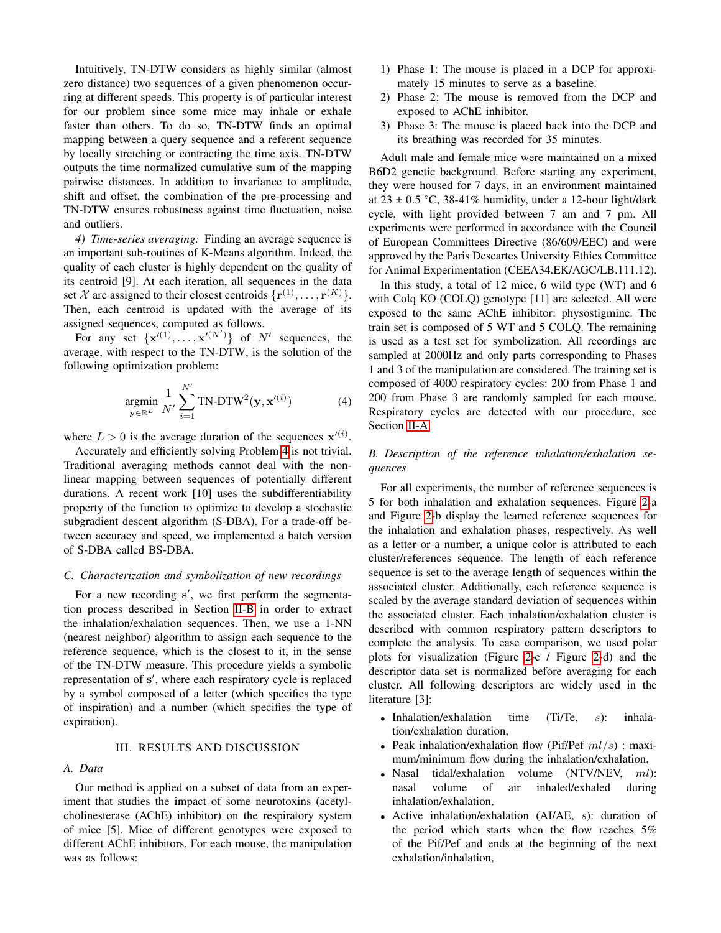Intuitively, TN-DTW considers as highly similar (almost zero distance) two sequences of a given phenomenon occurring at different speeds. This property is of particular interest for our problem since some mice may inhale or exhale faster than others. To do so, TN-DTW finds an optimal mapping between a query sequence and a referent sequence by locally stretching or contracting the time axis. TN-DTW outputs the time normalized cumulative sum of the mapping pairwise distances. In addition to invariance to amplitude, shift and offset, the combination of the pre-processing and TN-DTW ensures robustness against time fluctuation, noise and outliers.

*4) Time-series averaging:* Finding an average sequence is an important sub-routines of K-Means algorithm. Indeed, the quality of each cluster is highly dependent on the quality of its centroid [9]. At each iteration, all sequences in the data set X are assigned to their closest centroids  $\{r^{(1)}, \ldots, r^{(K)}\}.$ Then, each centroid is updated with the average of its assigned sequences, computed as follows.

For any set  $\{x'(1), \ldots, x'(N')\}$  of N' sequences, the average, with respect to the TN-DTW, is the solution of the following optimization problem:

<span id="page-2-2"></span>
$$
\underset{\mathbf{y} \in \mathbb{R}^L}{\text{argmin}} \frac{1}{N'} \sum_{i=1}^{N'} \text{TN-DTW}^2(\mathbf{y}, \mathbf{x}'^{(i)})
$$
(4)

where  $L > 0$  is the average duration of the sequences  $\mathbf{x}'^{(i)}$ .

Accurately and efficiently solving Problem [4](#page-2-2) is not trivial. Traditional averaging methods cannot deal with the nonlinear mapping between sequences of potentially different durations. A recent work [10] uses the subdifferentiability property of the function to optimize to develop a stochastic subgradient descent algorithm (S-DBA). For a trade-off between accuracy and speed, we implemented a batch version of S-DBA called BS-DBA.

#### *C. Characterization and symbolization of new recordings*

For a new recording s', we first perform the segmentation process described in Section [II-B](#page-1-0) in order to extract the inhalation/exhalation sequences. Then, we use a 1-NN (nearest neighbor) algorithm to assign each sequence to the reference sequence, which is the closest to it, in the sense of the TN-DTW measure. This procedure yields a symbolic representation of s ′ , where each respiratory cycle is replaced by a symbol composed of a letter (which specifies the type of inspiration) and a number (which specifies the type of expiration).

#### III. RESULTS AND DISCUSSION

## <span id="page-2-1"></span>*A. Data*

Our method is applied on a subset of data from an experiment that studies the impact of some neurotoxins (acetylcholinesterase (AChE) inhibitor) on the respiratory system of mice [5]. Mice of different genotypes were exposed to different AChE inhibitors. For each mouse, the manipulation was as follows:

- 1) Phase 1: The mouse is placed in a DCP for approximately 15 minutes to serve as a baseline.
- 2) Phase 2: The mouse is removed from the DCP and exposed to AChE inhibitor.
- 3) Phase 3: The mouse is placed back into the DCP and its breathing was recorded for 35 minutes.

Adult male and female mice were maintained on a mixed B6D2 genetic background. Before starting any experiment, they were housed for 7 days, in an environment maintained at  $23 \pm 0.5$  °C, 38-41% humidity, under a 12-hour light/dark cycle, with light provided between 7 am and 7 pm. All experiments were performed in accordance with the Council of European Committees Directive (86/609/EEC) and were approved by the Paris Descartes University Ethics Committee for Animal Experimentation (CEEA34.EK/AGC/LB.111.12).

In this study, a total of 12 mice, 6 wild type (WT) and 6 with Colq KO (COLQ) genotype [11] are selected. All were exposed to the same AChE inhibitor: physostigmine. The train set is composed of 5 WT and 5 COLQ. The remaining is used as a test set for symbolization. All recordings are sampled at 2000Hz and only parts corresponding to Phases 1 and 3 of the manipulation are considered. The training set is composed of 4000 respiratory cycles: 200 from Phase 1 and 200 from Phase 3 are randomly sampled for each mouse. Respiratory cycles are detected with our procedure, see Section [II-A.](#page-1-1)

# <span id="page-2-0"></span>*B. Description of the reference inhalation/exhalation sequences*

For all experiments, the number of reference sequences is 5 for both inhalation and exhalation sequences. Figure [2-](#page-3-0)a and Figure [2-](#page-3-0)b display the learned reference sequences for the inhalation and exhalation phases, respectively. As well as a letter or a number, a unique color is attributed to each cluster/references sequence. The length of each reference sequence is set to the average length of sequences within the associated cluster. Additionally, each reference sequence is scaled by the average standard deviation of sequences within the associated cluster. Each inhalation/exhalation cluster is described with common respiratory pattern descriptors to complete the analysis. To ease comparison, we used polar plots for visualization (Figure [2-](#page-3-0)c / Figure [2-](#page-3-0)d) and the descriptor data set is normalized before averaging for each cluster. All following descriptors are widely used in the literature [3]:

- Inhalation/exhalation time (Ti/Te, s): inhalation/exhalation duration,
- Peak inhalation/exhalation flow (Pif/Pef  $ml/s$ ) : maximum/minimum flow during the inhalation/exhalation,
- Nasal tidal/exhalation volume  $(NTV/NEV, ml)$ : nasal volume of air inhaled/exhaled during inhalation/exhalation,
- Active inhalation/exhalation (AI/AE, s): duration of the period which starts when the flow reaches 5% of the Pif/Pef and ends at the beginning of the next exhalation/inhalation,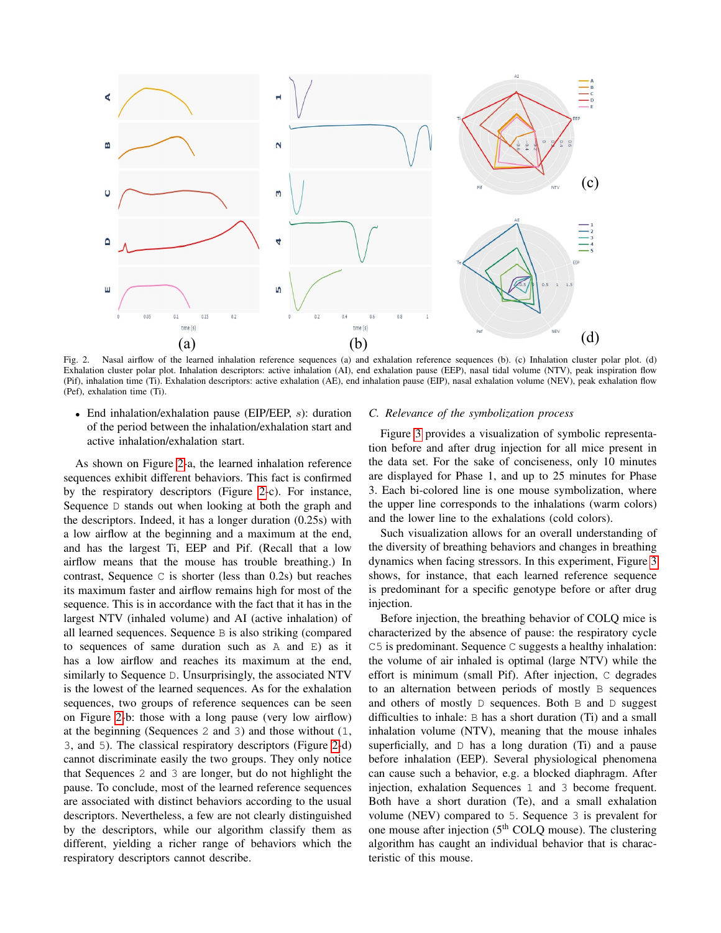

<span id="page-3-0"></span>Fig. 2. Nasal airflow of the learned inhalation reference sequences (a) and exhalation reference sequences (b). (c) Inhalation cluster polar plot. (d) Exhalation cluster polar plot. Inhalation descriptors: active inhalation (AI), end exhalation pause (EEP), nasal tidal volume (NTV), peak inspiration flow (Pif), inhalation time (Ti). Exhalation descriptors: active exhalation (AE), end inhalation pause (EIP), nasal exhalation volume (NEV), peak exhalation flow (Pef), exhalation time (Ti).

• End inhalation/exhalation pause (EIP/EEP, s): duration of the period between the inhalation/exhalation start and active inhalation/exhalation start.

As shown on Figure [2-](#page-3-0)a, the learned inhalation reference sequences exhibit different behaviors. This fact is confirmed by the respiratory descriptors (Figure [2-](#page-3-0)c). For instance, Sequence D stands out when looking at both the graph and the descriptors. Indeed, it has a longer duration (0.25s) with a low airflow at the beginning and a maximum at the end, and has the largest Ti, EEP and Pif. (Recall that a low airflow means that the mouse has trouble breathing.) In contrast, Sequence C is shorter (less than 0.2s) but reaches its maximum faster and airflow remains high for most of the sequence. This is in accordance with the fact that it has in the largest NTV (inhaled volume) and AI (active inhalation) of all learned sequences. Sequence B is also striking (compared to sequences of same duration such as  $A$  and  $E$ ) as it has a low airflow and reaches its maximum at the end, similarly to Sequence D. Unsurprisingly, the associated NTV is the lowest of the learned sequences. As for the exhalation sequences, two groups of reference sequences can be seen on Figure [2-](#page-3-0)b: those with a long pause (very low airflow) at the beginning (Sequences 2 and 3) and those without (1, 3, and 5). The classical respiratory descriptors (Figure [2-](#page-3-0)d) cannot discriminate easily the two groups. They only notice that Sequences 2 and 3 are longer, but do not highlight the pause. To conclude, most of the learned reference sequences are associated with distinct behaviors according to the usual descriptors. Nevertheless, a few are not clearly distinguished by the descriptors, while our algorithm classify them as different, yielding a richer range of behaviors which the respiratory descriptors cannot describe.

## *C. Relevance of the symbolization process*

Figure [3](#page-4-0) provides a visualization of symbolic representation before and after drug injection for all mice present in the data set. For the sake of conciseness, only 10 minutes are displayed for Phase 1, and up to 25 minutes for Phase 3. Each bi-colored line is one mouse symbolization, where the upper line corresponds to the inhalations (warm colors) and the lower line to the exhalations (cold colors).

Such visualization allows for an overall understanding of the diversity of breathing behaviors and changes in breathing dynamics when facing stressors. In this experiment, Figure [3](#page-4-0) shows, for instance, that each learned reference sequence is predominant for a specific genotype before or after drug injection.

Before injection, the breathing behavior of COLQ mice is characterized by the absence of pause: the respiratory cycle C5 is predominant. Sequence C suggests a healthy inhalation: the volume of air inhaled is optimal (large NTV) while the effort is minimum (small Pif). After injection, C degrades to an alternation between periods of mostly B sequences and others of mostly D sequences. Both B and D suggest difficulties to inhale: B has a short duration (Ti) and a small inhalation volume (NTV), meaning that the mouse inhales superficially, and  $D$  has a long duration (Ti) and a pause before inhalation (EEP). Several physiological phenomena can cause such a behavior, e.g. a blocked diaphragm. After injection, exhalation Sequences 1 and 3 become frequent. Both have a short duration (Te), and a small exhalation volume (NEV) compared to 5. Sequence 3 is prevalent for one mouse after injection  $(5<sup>th</sup> COLQ$  mouse). The clustering algorithm has caught an individual behavior that is characteristic of this mouse.